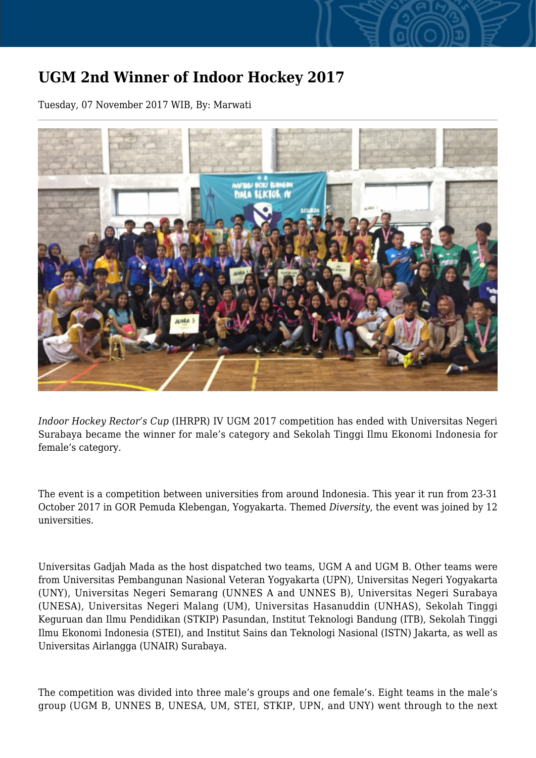## **UGM 2nd Winner of Indoor Hockey 2017**

Tuesday, 07 November 2017 WIB, By: Marwati



*Indoor Hockey Rector's Cup* (IHRPR) IV UGM 2017 competition has ended with Universitas Negeri Surabaya became the winner for male's category and Sekolah Tinggi Ilmu Ekonomi Indonesia for female's category.

The event is a competition between universities from around Indonesia. This year it run from 23-31 October 2017 in GOR Pemuda Klebengan, Yogyakarta. Themed *Diversity*, the event was joined by 12 universities.

Universitas Gadjah Mada as the host dispatched two teams, UGM A and UGM B. Other teams were from Universitas Pembangunan Nasional Veteran Yogyakarta (UPN), Universitas Negeri Yogyakarta (UNY), Universitas Negeri Semarang (UNNES A and UNNES B), Universitas Negeri Surabaya (UNESA), Universitas Negeri Malang (UM), Universitas Hasanuddin (UNHAS), Sekolah Tinggi Keguruan dan Ilmu Pendidikan (STKIP) Pasundan, Institut Teknologi Bandung (ITB), Sekolah Tinggi Ilmu Ekonomi Indonesia (STEI), and Institut Sains dan Teknologi Nasional (ISTN) Jakarta, as well as Universitas Airlangga (UNAIR) Surabaya.

The competition was divided into three male's groups and one female's. Eight teams in the male's group (UGM B, UNNES B, UNESA, UM, STEI, STKIP, UPN, and UNY) went through to the next